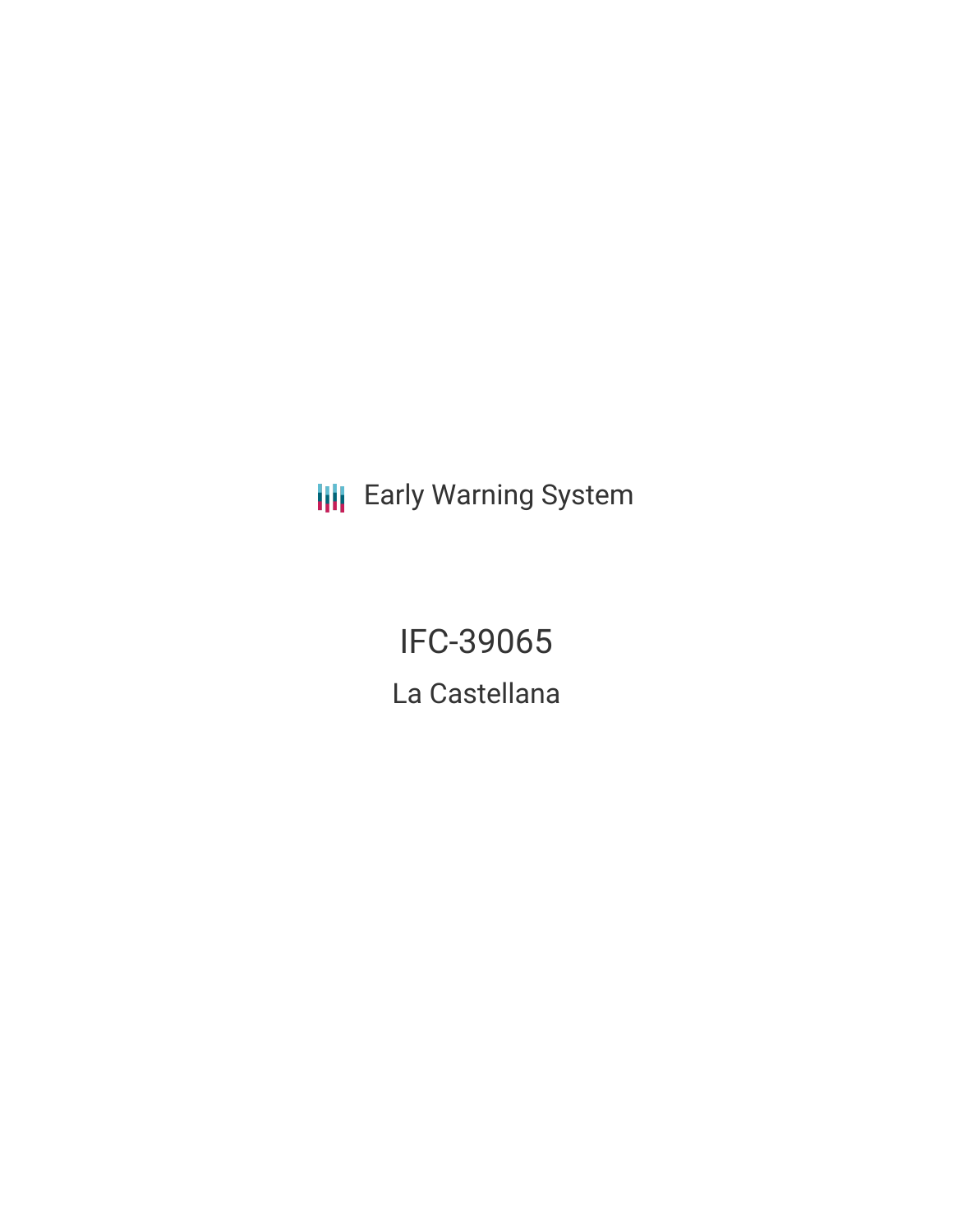**III** Early Warning System

IFC-39065 La Castellana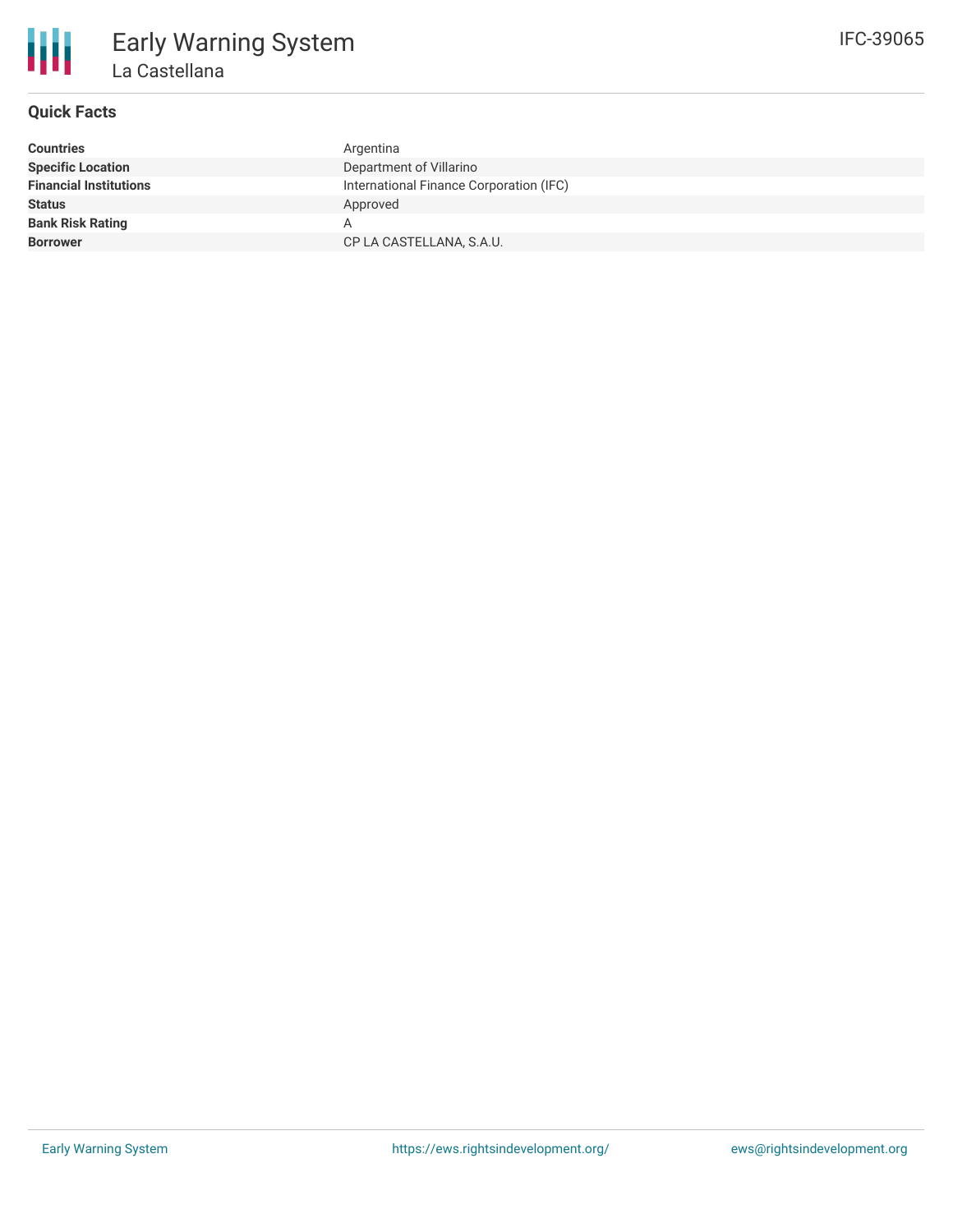

# **Quick Facts**

| <b>Countries</b>              | Argentina                               |
|-------------------------------|-----------------------------------------|
| <b>Specific Location</b>      | Department of Villarino                 |
| <b>Financial Institutions</b> | International Finance Corporation (IFC) |
| <b>Status</b>                 | Approved                                |
| <b>Bank Risk Rating</b>       |                                         |
| <b>Borrower</b>               | CP LA CASTELLANA, S.A.U.                |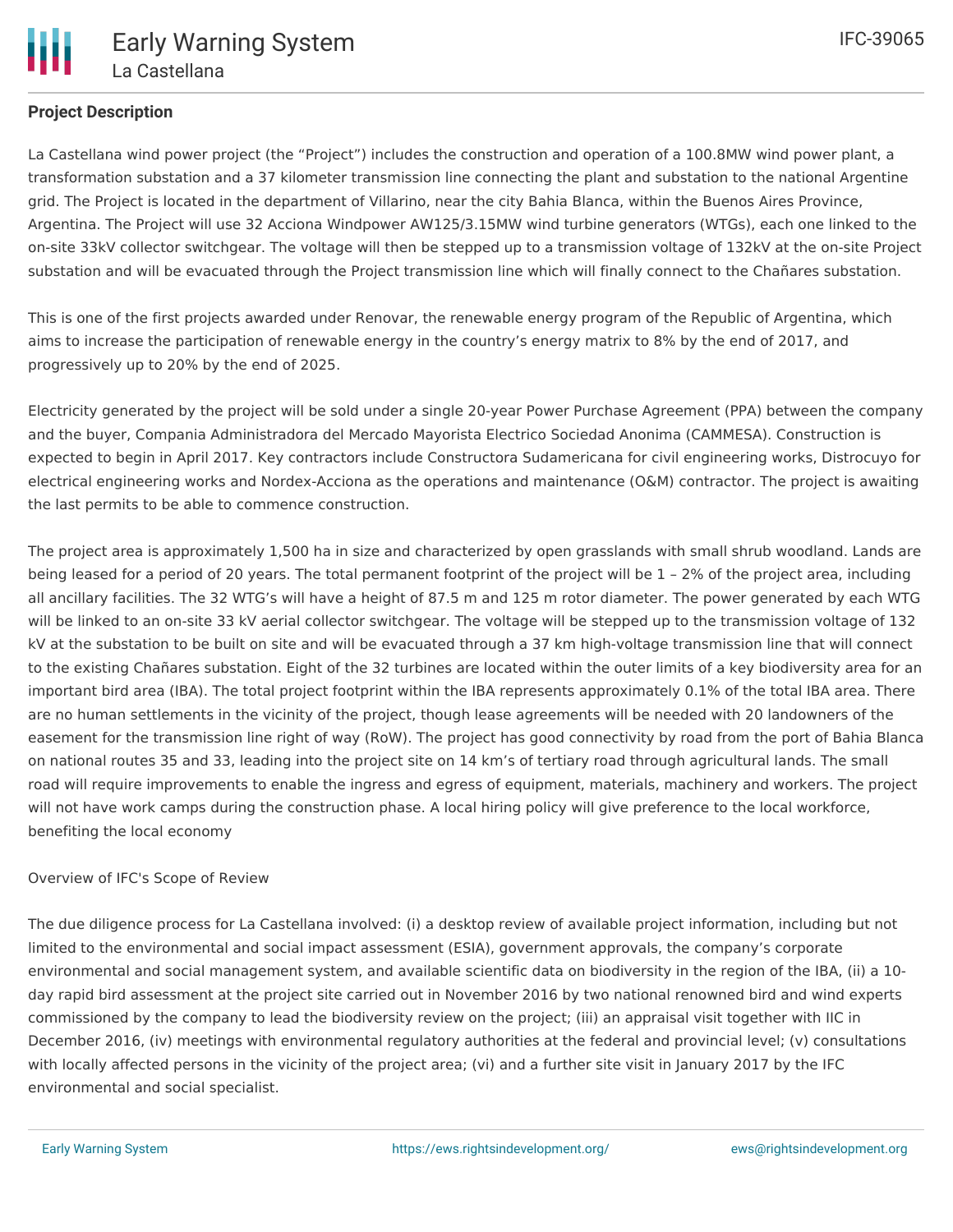

## **Project Description**

La Castellana wind power project (the "Project") includes the construction and operation of a 100.8MW wind power plant, a transformation substation and a 37 kilometer transmission line connecting the plant and substation to the national Argentine grid. The Project is located in the department of Villarino, near the city Bahia Blanca, within the Buenos Aires Province, Argentina. The Project will use 32 Acciona Windpower AW125/3.15MW wind turbine generators (WTGs), each one linked to the on-site 33kV collector switchgear. The voltage will then be stepped up to a transmission voltage of 132kV at the on-site Project substation and will be evacuated through the Project transmission line which will finally connect to the Chañares substation.

This is one of the first projects awarded under Renovar, the renewable energy program of the Republic of Argentina, which aims to increase the participation of renewable energy in the country's energy matrix to 8% by the end of 2017, and progressively up to 20% by the end of 2025.

Electricity generated by the project will be sold under a single 20-year Power Purchase Agreement (PPA) between the company and the buyer, Compania Administradora del Mercado Mayorista Electrico Sociedad Anonima (CAMMESA). Construction is expected to begin in April 2017. Key contractors include Constructora Sudamericana for civil engineering works, Distrocuyo for electrical engineering works and Nordex-Acciona as the operations and maintenance (O&M) contractor. The project is awaiting the last permits to be able to commence construction.

The project area is approximately 1,500 ha in size and characterized by open grasslands with small shrub woodland. Lands are being leased for a period of 20 years. The total permanent footprint of the project will be  $1$  - 2% of the project area, including all ancillary facilities. The 32 WTG's will have a height of 87.5 m and 125 m rotor diameter. The power generated by each WTG will be linked to an on-site 33 kV aerial collector switchgear. The voltage will be stepped up to the transmission voltage of 132 kV at the substation to be built on site and will be evacuated through a 37 km high-voltage transmission line that will connect to the existing Chañares substation. Eight of the 32 turbines are located within the outer limits of a key biodiversity area for an important bird area (IBA). The total project footprint within the IBA represents approximately 0.1% of the total IBA area. There are no human settlements in the vicinity of the project, though lease agreements will be needed with 20 landowners of the easement for the transmission line right of way (RoW). The project has good connectivity by road from the port of Bahia Blanca on national routes 35 and 33, leading into the project site on 14 km's of tertiary road through agricultural lands. The small road will require improvements to enable the ingress and egress of equipment, materials, machinery and workers. The project will not have work camps during the construction phase. A local hiring policy will give preference to the local workforce, benefiting the local economy

#### Overview of IFC's Scope of Review

The due diligence process for La Castellana involved: (i) a desktop review of available project information, including but not limited to the environmental and social impact assessment (ESIA), government approvals, the company's corporate environmental and social management system, and available scientific data on biodiversity in the region of the IBA, (ii) a 10 day rapid bird assessment at the project site carried out in November 2016 by two national renowned bird and wind experts commissioned by the company to lead the biodiversity review on the project; (iii) an appraisal visit together with IIC in December 2016, (iv) meetings with environmental regulatory authorities at the federal and provincial level; (v) consultations with locally affected persons in the vicinity of the project area; (vi) and a further site visit in January 2017 by the IFC environmental and social specialist.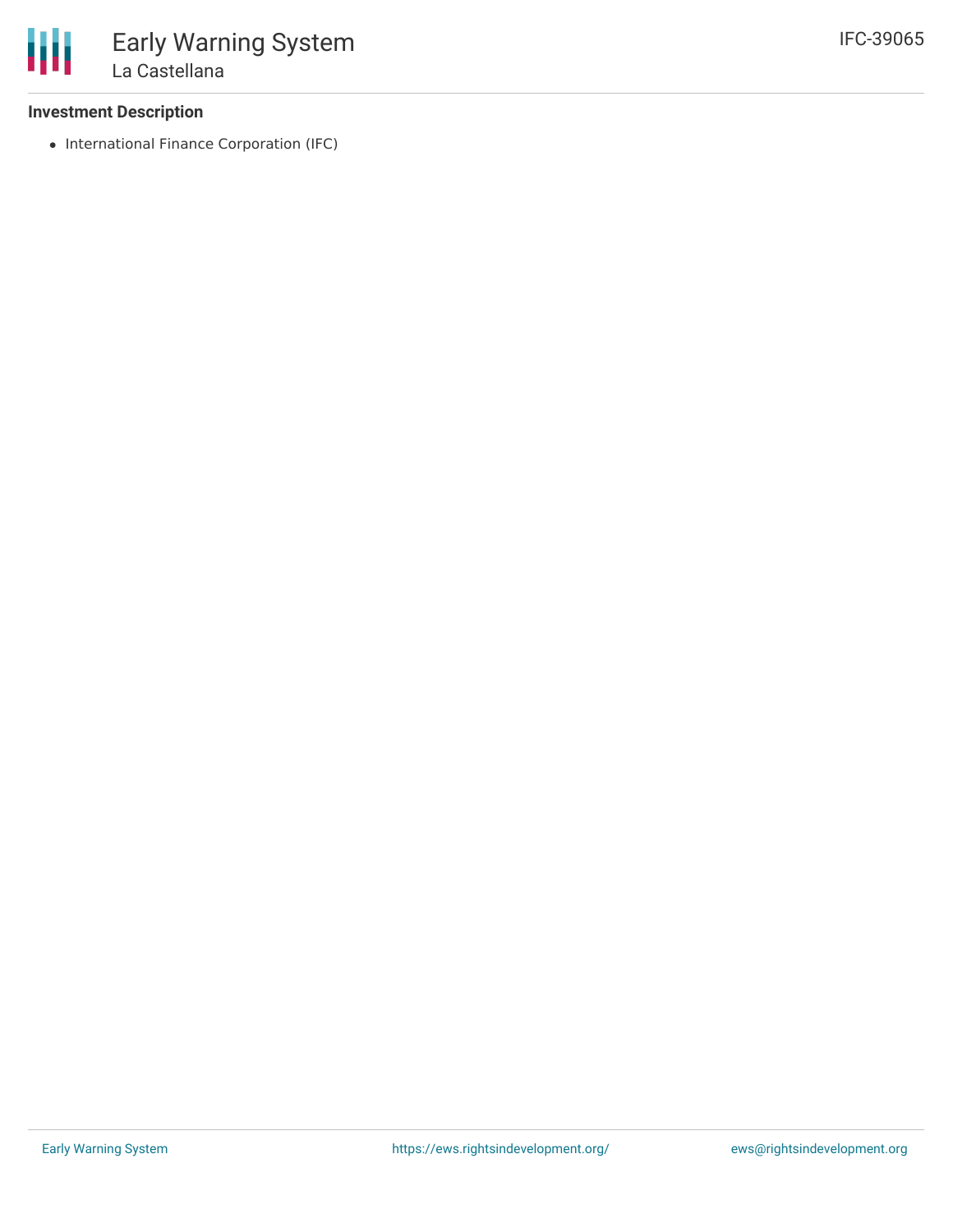#### **Investment Description**

• International Finance Corporation (IFC)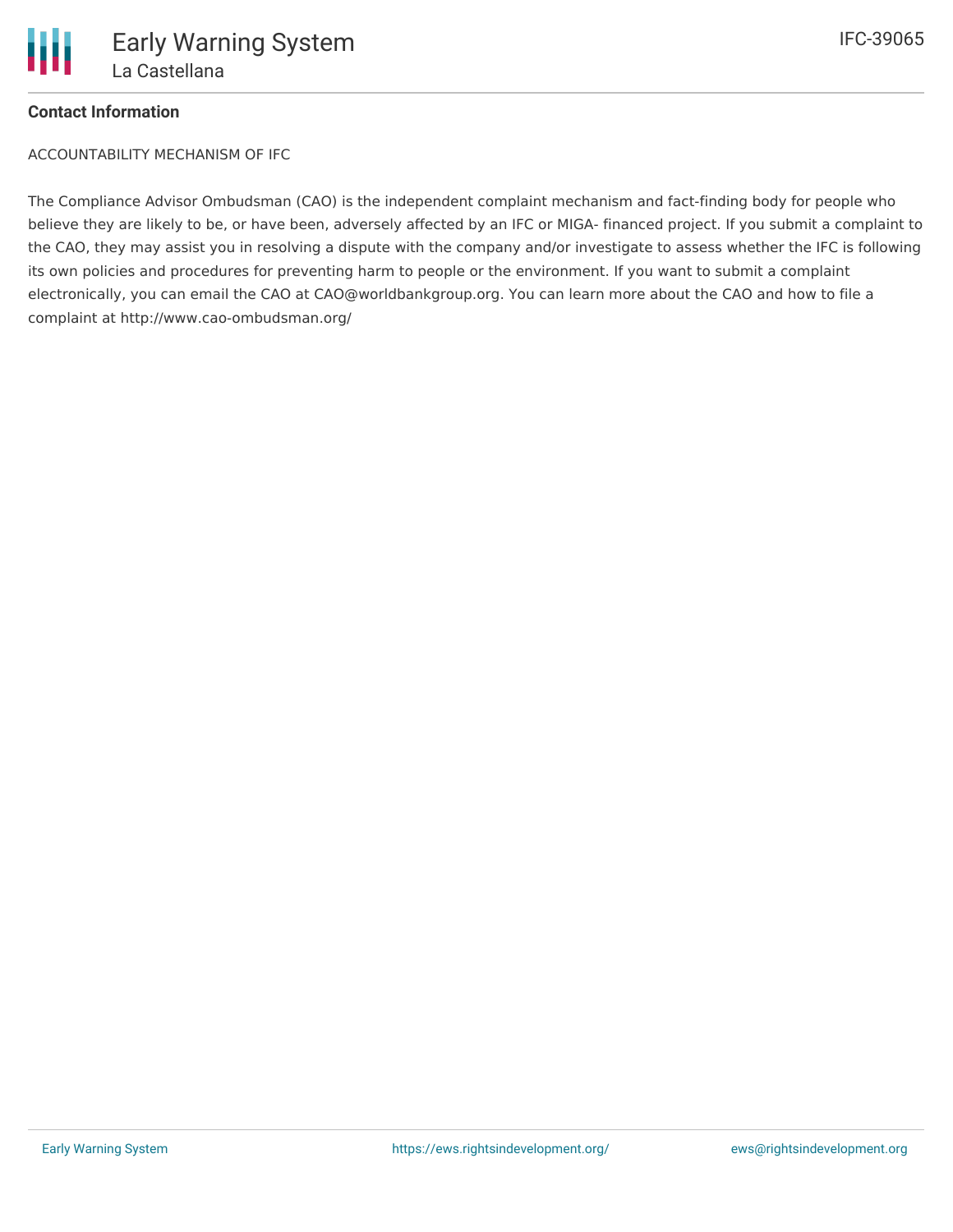

### **Contact Information**

ACCOUNTABILITY MECHANISM OF IFC

The Compliance Advisor Ombudsman (CAO) is the independent complaint mechanism and fact-finding body for people who believe they are likely to be, or have been, adversely affected by an IFC or MIGA- financed project. If you submit a complaint to the CAO, they may assist you in resolving a dispute with the company and/or investigate to assess whether the IFC is following its own policies and procedures for preventing harm to people or the environment. If you want to submit a complaint electronically, you can email the CAO at CAO@worldbankgroup.org. You can learn more about the CAO and how to file a complaint at http://www.cao-ombudsman.org/